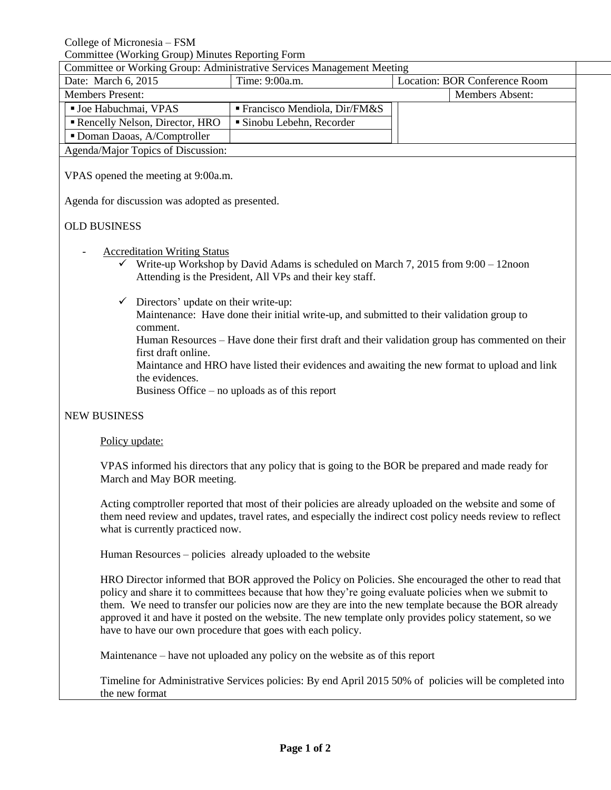College of Micronesia – FSM

Committee (Working Group) Minutes Reporting Form

| Committee or Working Group: Administrative Services Management Meeting |                                             |                               |                        |  |
|------------------------------------------------------------------------|---------------------------------------------|-------------------------------|------------------------|--|
| Date: March 6, 2015                                                    | Time: 9:00a.m.                              | Location: BOR Conference Room |                        |  |
| <b>Members Present:</b>                                                |                                             |                               | <b>Members Absent:</b> |  |
| <b>Joe Habuchmai, VPAS</b>                                             | $\blacksquare$ Francisco Mendiola, Dir/FM&S |                               |                        |  |
| Rencelly Nelson, Director, HRO                                         | • Sinobu Lebehn, Recorder                   |                               |                        |  |
| • Doman Daoas, A/Comptroller                                           |                                             |                               |                        |  |
| Agenda/Major Topics of Discussion:                                     |                                             |                               |                        |  |
|                                                                        |                                             |                               |                        |  |

VPAS opened the meeting at 9:00a.m.

Agenda for discussion was adopted as presented.

## OLD BUSINESS

- **Accreditation Writing Status** 
	- $\checkmark$  Write-up Workshop by David Adams is scheduled on March 7, 2015 from 9:00 12noon Attending is the President, All VPs and their key staff.
	- $\checkmark$  Directors' update on their write-up:

Maintenance: Have done their initial write-up, and submitted to their validation group to comment.

Human Resources – Have done their first draft and their validation group has commented on their first draft online.

Maintance and HRO have listed their evidences and awaiting the new format to upload and link the evidences.

Business Office – no uploads as of this report

## NEW BUSINESS

## Policy update:

VPAS informed his directors that any policy that is going to the BOR be prepared and made ready for March and May BOR meeting.

Acting comptroller reported that most of their policies are already uploaded on the website and some of them need review and updates, travel rates, and especially the indirect cost policy needs review to reflect what is currently practiced now.

Human Resources – policies already uploaded to the website

HRO Director informed that BOR approved the Policy on Policies. She encouraged the other to read that policy and share it to committees because that how they're going evaluate policies when we submit to them. We need to transfer our policies now are they are into the new template because the BOR already approved it and have it posted on the website. The new template only provides policy statement, so we have to have our own procedure that goes with each policy.

Maintenance – have not uploaded any policy on the website as of this report

Timeline for Administrative Services policies: By end April 2015 50% of policies will be completed into the new format